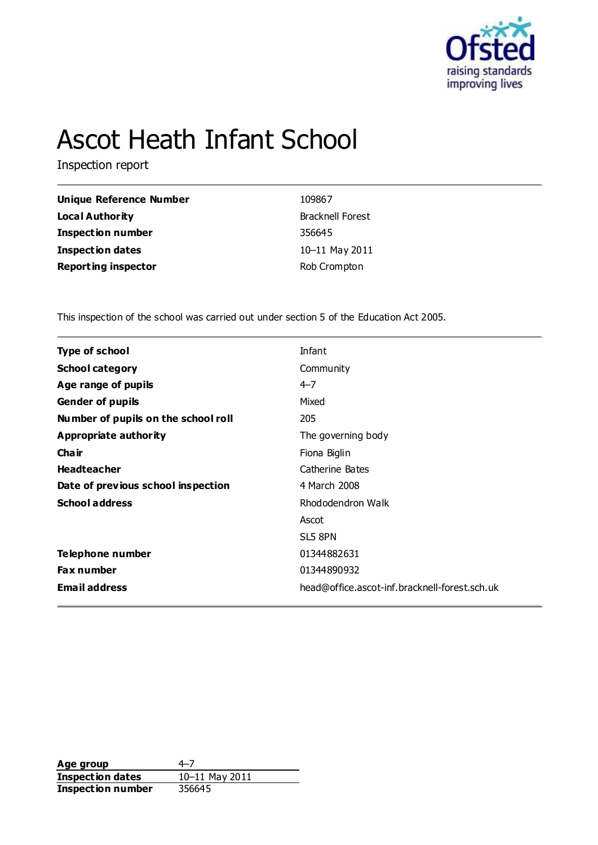

# Ascot Heath Infant School

Inspection report

| Unique Reference Number    | 109867                  |
|----------------------------|-------------------------|
| <b>Local Authority</b>     | <b>Bracknell Forest</b> |
| <b>Inspection number</b>   | 356645                  |
| <b>Inspection dates</b>    | 10-11 May 2011          |
| <b>Reporting inspector</b> | Rob Crompton            |

This inspection of the school was carried out under section 5 of the Education Act 2005.

| <b>Type of school</b>               | Infant                                        |
|-------------------------------------|-----------------------------------------------|
| <b>School category</b>              | Community                                     |
| Age range of pupils                 | $4 - 7$                                       |
| <b>Gender of pupils</b>             | Mixed                                         |
| Number of pupils on the school roll | 205                                           |
| Appropriate authority               | The governing body                            |
| Cha ir                              | Fiona Biglin                                  |
| <b>Headteacher</b>                  | Catherine Bates                               |
| Date of previous school inspection  | 4 March 2008                                  |
| <b>School address</b>               | Rhododendron Walk                             |
|                                     | Ascot                                         |
|                                     | SL5 8PN                                       |
| Telephone number                    | 01344882631                                   |
| <b>Fax number</b>                   | 01344890932                                   |
| <b>Email address</b>                | head@office.ascot-inf.bracknell-forest.sch.uk |
|                                     |                                               |

**Age group** 4–7<br> **Inspection dates** 10–11 May 2011 **Inspection dates** 10–11 May 2011 **Inspection number** 356645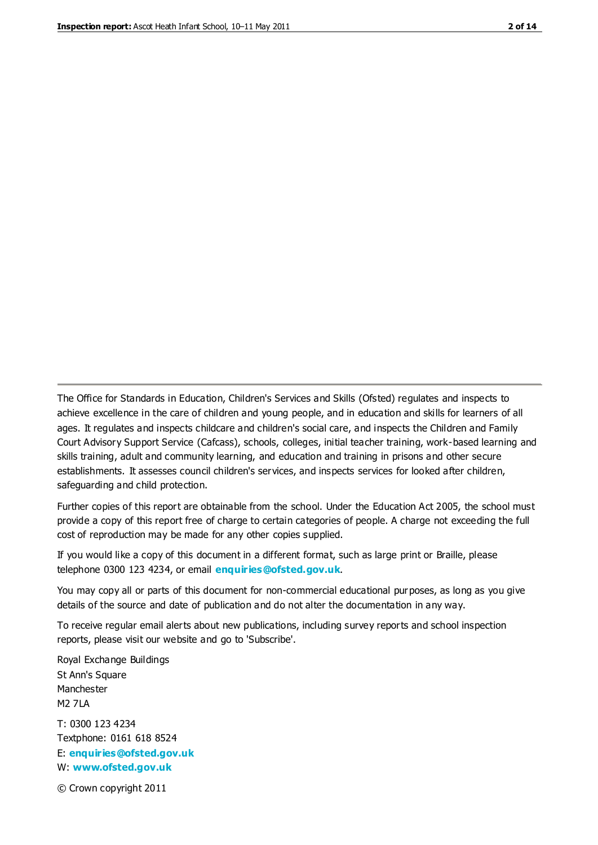The Office for Standards in Education, Children's Services and Skills (Ofsted) regulates and inspects to achieve excellence in the care of children and young people, and in education and skills for learners of all ages. It regulates and inspects childcare and children's social care, and inspects the Children and Family Court Advisory Support Service (Cafcass), schools, colleges, initial teacher training, work-based learning and skills training, adult and community learning, and education and training in prisons and other secure establishments. It assesses council children's services, and inspects services for looked after children, safeguarding and child protection.

Further copies of this report are obtainable from the school. Under the Education Act 2005, the school must provide a copy of this report free of charge to certain categories of people. A charge not exceeding the full cost of reproduction may be made for any other copies supplied.

If you would like a copy of this document in a different format, such as large print or Braille, please telephone 0300 123 4234, or email **[enquiries@ofsted.gov.uk](mailto:enquiries@ofsted.gov.uk)**.

You may copy all or parts of this document for non-commercial educational purposes, as long as you give details of the source and date of publication and do not alter the documentation in any way.

To receive regular email alerts about new publications, including survey reports and school inspection reports, please visit our website and go to 'Subscribe'.

Royal Exchange Buildings St Ann's Square Manchester M2 7LA T: 0300 123 4234 Textphone: 0161 618 8524 E: **[enquiries@ofsted.gov.uk](mailto:enquiries@ofsted.gov.uk)**

W: **[www.ofsted.gov.uk](http://www.ofsted.gov.uk/)**

© Crown copyright 2011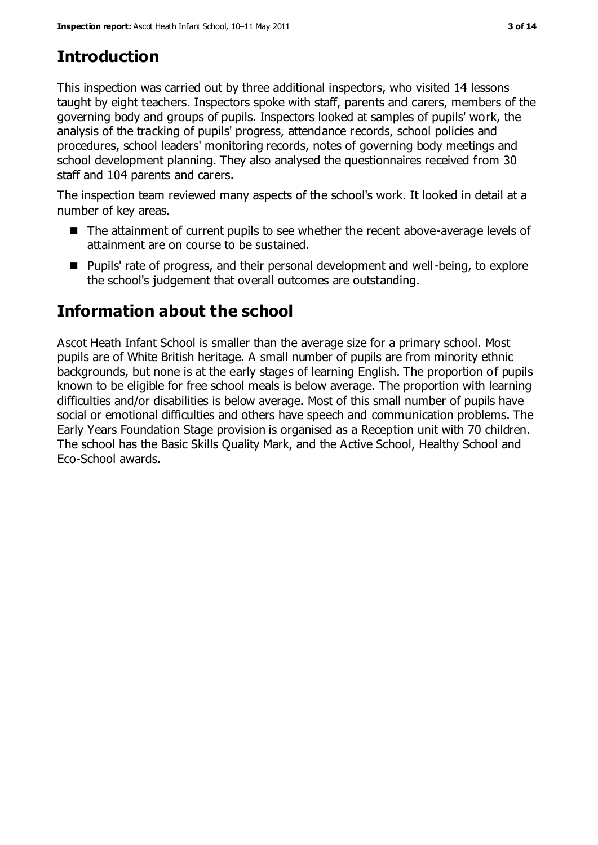# **Introduction**

This inspection was carried out by three additional inspectors, who visited 14 lessons taught by eight teachers. Inspectors spoke with staff, parents and carers, members of the governing body and groups of pupils. Inspectors looked at samples of pupils' work, the analysis of the tracking of pupils' progress, attendance records, school policies and procedures, school leaders' monitoring records, notes of governing body meetings and school development planning. They also analysed the questionnaires received from 30 staff and 104 parents and carers.

The inspection team reviewed many aspects of the school's work. It looked in detail at a number of key areas.

- The attainment of current pupils to see whether the recent above-average levels of attainment are on course to be sustained.
- Pupils' rate of progress, and their personal development and well-being, to explore the school's judgement that overall outcomes are outstanding.

# **Information about the school**

Ascot Heath Infant School is smaller than the average size for a primary school. Most pupils are of White British heritage. A small number of pupils are from minority ethnic backgrounds, but none is at the early stages of learning English. The proportion of pupils known to be eligible for free school meals is below average. The proportion with learning difficulties and/or disabilities is below average. Most of this small number of pupils have social or emotional difficulties and others have speech and communication problems. The Early Years Foundation Stage provision is organised as a Reception unit with 70 children. The school has the Basic Skills Quality Mark, and the Active School, Healthy School and Eco-School awards.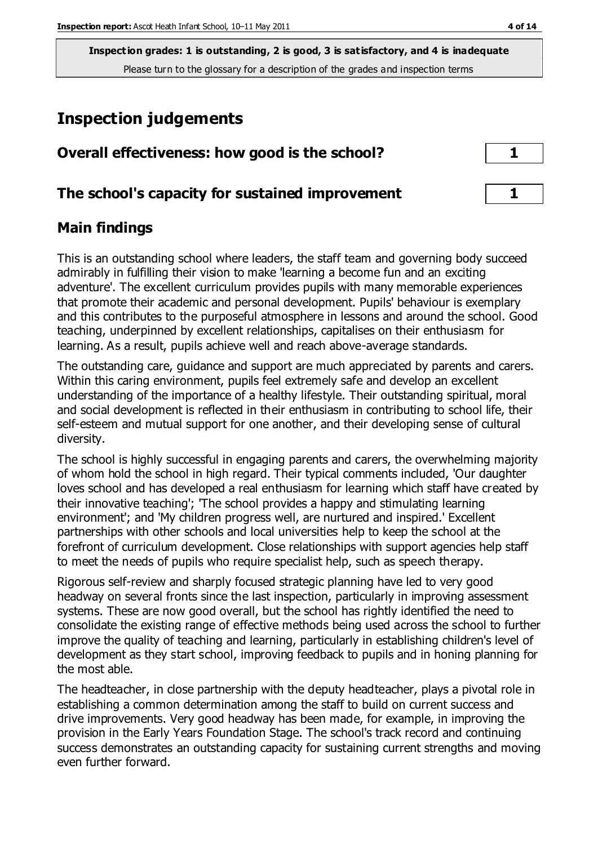# **Inspection judgements**

| Overall effectiveness: how good is the school?  |  |
|-------------------------------------------------|--|
| The school's capacity for sustained improvement |  |

#### **Main findings**

This is an outstanding school where leaders, the staff team and governing body succeed admirably in fulfilling their vision to make 'learning a become fun and an exciting adventure'. The excellent curriculum provides pupils with many memorable experiences that promote their academic and personal development. Pupils' behaviour is exemplary and this contributes to the purposeful atmosphere in lessons and around the school. Good teaching, underpinned by excellent relationships, capitalises on their enthusiasm for learning. As a result, pupils achieve well and reach above-average standards.

The outstanding care, guidance and support are much appreciated by parents and carers. Within this caring environment, pupils feel extremely safe and develop an excellent understanding of the importance of a healthy lifestyle. Their outstanding spiritual, moral and social development is reflected in their enthusiasm in contributing to school life, their self-esteem and mutual support for one another, and their developing sense of cultural diversity.

The school is highly successful in engaging parents and carers, the overwhelming majority of whom hold the school in high regard. Their typical comments included, 'Our daughter loves school and has developed a real enthusiasm for learning which staff have created by their innovative teaching'; 'The school provides a happy and stimulating learning environment'; and 'My children progress well, are nurtured and inspired.' Excellent partnerships with other schools and local universities help to keep the school at the forefront of curriculum development. Close relationships with support agencies help staff to meet the needs of pupils who require specialist help, such as speech therapy.

Rigorous self-review and sharply focused strategic planning have led to very good headway on several fronts since the last inspection, particularly in improving assessment systems. These are now good overall, but the school has rightly identified the need to consolidate the existing range of effective methods being used across the school to further improve the quality of teaching and learning, particularly in establishing children's level of development as they start school, improving feedback to pupils and in honing planning for the most able.

The headteacher, in close partnership with the deputy headteacher, plays a pivotal role in establishing a common determination among the staff to build on current success and drive improvements. Very good headway has been made, for example, in improving the provision in the Early Years Foundation Stage. The school's track record and continuing success demonstrates an outstanding capacity for sustaining current strengths and moving even further forward.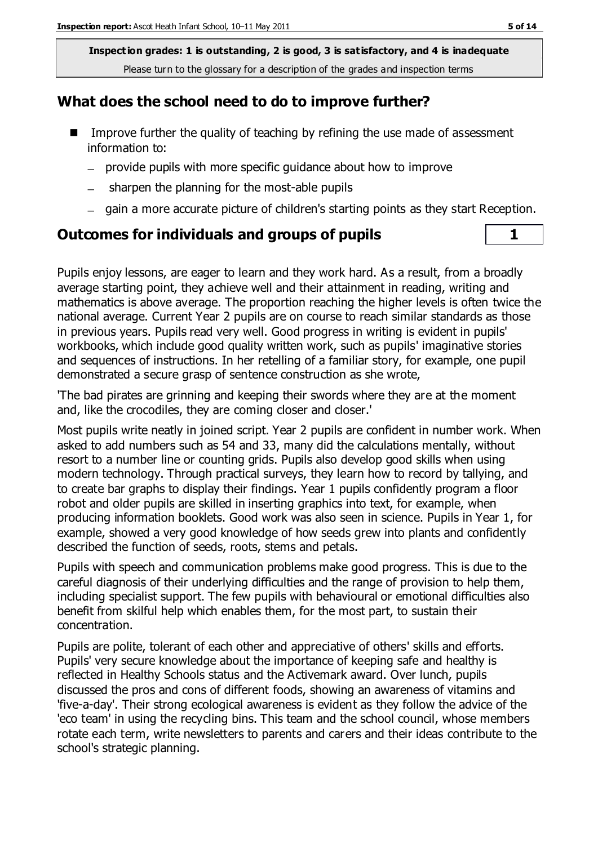### **What does the school need to do to improve further?**

- Improve further the quality of teaching by refining the use made of assessment information to:
	- provide pupils with more specific guidance about how to improve
	- sharpen the planning for the most-able pupils  $\equiv$
	- gain a more accurate picture of children's starting points as they start Reception.

### **Outcomes for individuals and groups of pupils 1**

Pupils enjoy lessons, are eager to learn and they work hard. As a result, from a broadly average starting point, they achieve well and their attainment in reading, writing and mathematics is above average. The proportion reaching the higher levels is often twice the national average. Current Year 2 pupils are on course to reach similar standards as those in previous years. Pupils read very well. Good progress in writing is evident in pupils' workbooks, which include good quality written work, such as pupils' imaginative stories and sequences of instructions. In her retelling of a familiar story, for example, one pupil demonstrated a secure grasp of sentence construction as she wrote,

'The bad pirates are grinning and keeping their swords where they are at the moment and, like the crocodiles, they are coming closer and closer.'

Most pupils write neatly in joined script. Year 2 pupils are confident in number work. When asked to add numbers such as 54 and 33, many did the calculations mentally, without resort to a number line or counting grids. Pupils also develop good skills when using modern technology. Through practical surveys, they learn how to record by tallying, and to create bar graphs to display their findings. Year 1 pupils confidently program a floor robot and older pupils are skilled in inserting graphics into text, for example, when producing information booklets. Good work was also seen in science. Pupils in Year 1, for example, showed a very good knowledge of how seeds grew into plants and confidently described the function of seeds, roots, stems and petals.

Pupils with speech and communication problems make good progress. This is due to the careful diagnosis of their underlying difficulties and the range of provision to help them, including specialist support. The few pupils with behavioural or emotional difficulties also benefit from skilful help which enables them, for the most part, to sustain their concentration.

Pupils are polite, tolerant of each other and appreciative of others' skills and efforts. Pupils' very secure knowledge about the importance of keeping safe and healthy is reflected in Healthy Schools status and the Activemark award. Over lunch, pupils discussed the pros and cons of different foods, showing an awareness of vitamins and 'five-a-day'. Their strong ecological awareness is evident as they follow the advice of the 'eco team' in using the recycling bins. This team and the school council, whose members rotate each term, write newsletters to parents and carers and their ideas contribute to the school's strategic planning.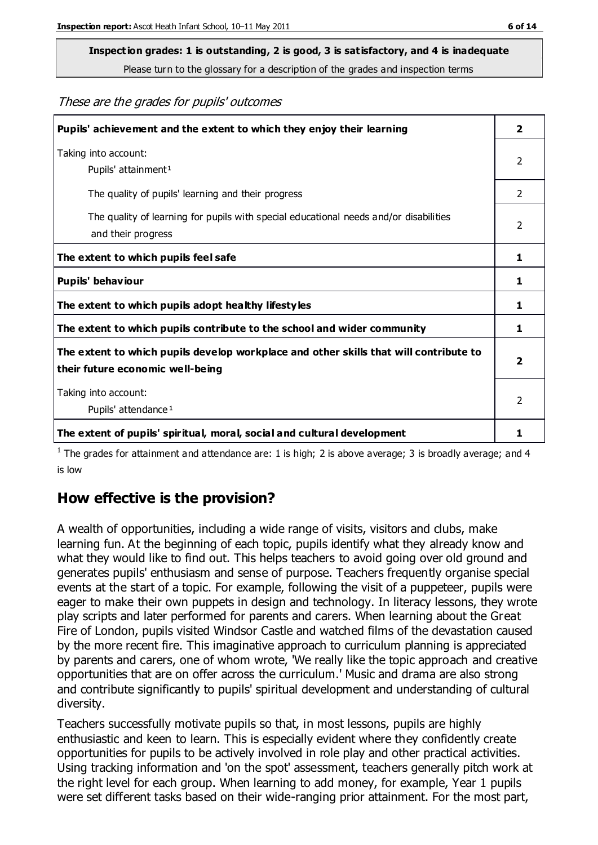# **Inspection grades: 1 is outstanding, 2 is good, 3 is satisfactory, and 4 is inadequate**

Please turn to the glossary for a description of the grades and inspection terms

These are the grades for pupils' outcomes

| Pupils' achievement and the extent to which they enjoy their learning                                                     | $\overline{2}$          |
|---------------------------------------------------------------------------------------------------------------------------|-------------------------|
| Taking into account:<br>Pupils' attainment <sup>1</sup>                                                                   | 2                       |
| The quality of pupils' learning and their progress                                                                        | $\mathcal{P}$           |
| The quality of learning for pupils with special educational needs and/or disabilities<br>and their progress               | 2                       |
| The extent to which pupils feel safe                                                                                      | 1                       |
| Pupils' behaviour                                                                                                         | 1                       |
| The extent to which pupils adopt healthy lifestyles                                                                       | 1                       |
| The extent to which pupils contribute to the school and wider community                                                   | 1                       |
| The extent to which pupils develop workplace and other skills that will contribute to<br>their future economic well-being | $\overline{\mathbf{2}}$ |
| Taking into account:<br>Pupils' attendance <sup>1</sup>                                                                   | $\mathcal{P}$           |
| The extent of pupils' spiritual, moral, social and cultural development                                                   | 1                       |

<sup>1</sup> The grades for attainment and attendance are: 1 is high; 2 is above average; 3 is broadly average; and 4 is low

### **How effective is the provision?**

A wealth of opportunities, including a wide range of visits, visitors and clubs, make learning fun. At the beginning of each topic, pupils identify what they already know and what they would like to find out. This helps teachers to avoid going over old ground and generates pupils' enthusiasm and sense of purpose. Teachers frequently organise special events at the start of a topic. For example, following the visit of a puppeteer, pupils were eager to make their own puppets in design and technology. In literacy lessons, they wrote play scripts and later performed for parents and carers. When learning about the Great Fire of London, pupils visited Windsor Castle and watched films of the devastation caused by the more recent fire. This imaginative approach to curriculum planning is appreciated by parents and carers, one of whom wrote, 'We really like the topic approach and creative opportunities that are on offer across the curriculum.' Music and drama are also strong and contribute significantly to pupils' spiritual development and understanding of cultural diversity.

Teachers successfully motivate pupils so that, in most lessons, pupils are highly enthusiastic and keen to learn. This is especially evident where they confidently create opportunities for pupils to be actively involved in role play and other practical activities. Using tracking information and 'on the spot' assessment, teachers generally pitch work at the right level for each group. When learning to add money, for example, Year 1 pupils were set different tasks based on their wide-ranging prior attainment. For the most part,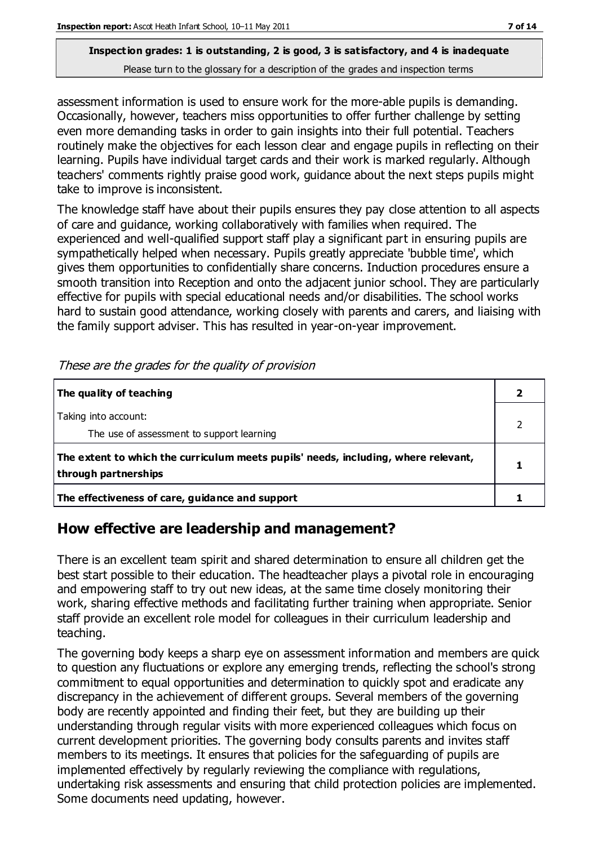assessment information is used to ensure work for the more-able pupils is demanding. Occasionally, however, teachers miss opportunities to offer further challenge by setting even more demanding tasks in order to gain insights into their full potential. Teachers routinely make the objectives for each lesson clear and engage pupils in reflecting on their learning. Pupils have individual target cards and their work is marked regularly. Although teachers' comments rightly praise good work, guidance about the next steps pupils might take to improve is inconsistent.

The knowledge staff have about their pupils ensures they pay close attention to all aspects of care and guidance, working collaboratively with families when required. The experienced and well-qualified support staff play a significant part in ensuring pupils are sympathetically helped when necessary. Pupils greatly appreciate 'bubble time', which gives them opportunities to confidentially share concerns. Induction procedures ensure a smooth transition into Reception and onto the adjacent junior school. They are particularly effective for pupils with special educational needs and/or disabilities. The school works hard to sustain good attendance, working closely with parents and carers, and liaising with the family support adviser. This has resulted in year-on-year improvement.

| The quality of teaching                                                                                    |  |
|------------------------------------------------------------------------------------------------------------|--|
| Taking into account:<br>The use of assessment to support learning                                          |  |
| The extent to which the curriculum meets pupils' needs, including, where relevant,<br>through partnerships |  |
| The effectiveness of care, guidance and support                                                            |  |

These are the grades for the quality of provision

#### **How effective are leadership and management?**

There is an excellent team spirit and shared determination to ensure all children get the best start possible to their education. The headteacher plays a pivotal role in encouraging and empowering staff to try out new ideas, at the same time closely monitoring their work, sharing effective methods and facilitating further training when appropriate. Senior staff provide an excellent role model for colleagues in their curriculum leadership and teaching.

The governing body keeps a sharp eye on assessment information and members are quick to question any fluctuations or explore any emerging trends, reflecting the school's strong commitment to equal opportunities and determination to quickly spot and eradicate any discrepancy in the achievement of different groups. Several members of the governing body are recently appointed and finding their feet, but they are building up their understanding through regular visits with more experienced colleagues which focus on current development priorities. The governing body consults parents and invites staff members to its meetings. It ensures that policies for the safeguarding of pupils are implemented effectively by regularly reviewing the compliance with regulations, undertaking risk assessments and ensuring that child protection policies are implemented. Some documents need updating, however.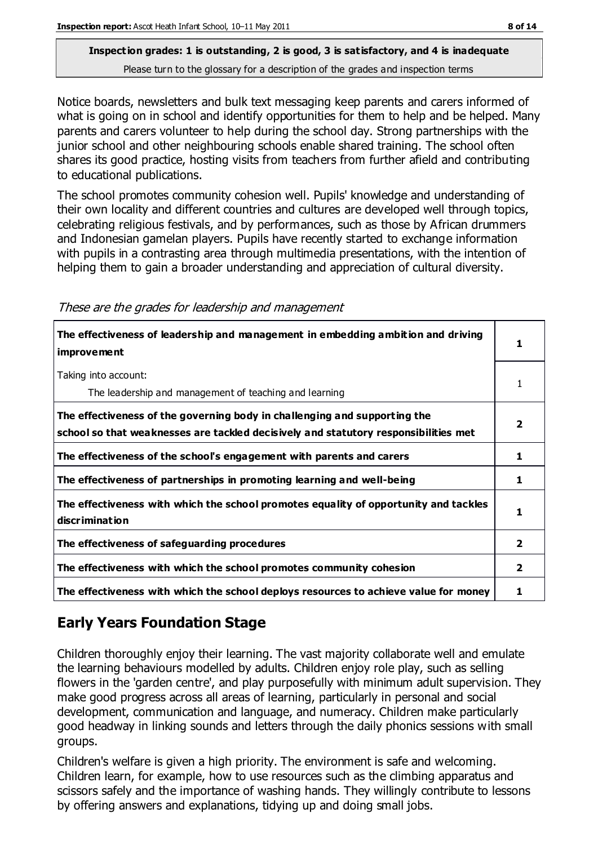Notice boards, newsletters and bulk text messaging keep parents and carers informed of what is going on in school and identify opportunities for them to help and be helped. Many parents and carers volunteer to help during the school day. Strong partnerships with the junior school and other neighbouring schools enable shared training. The school often shares its good practice, hosting visits from teachers from further afield and contributing to educational publications.

The school promotes community cohesion well. Pupils' knowledge and understanding of their own locality and different countries and cultures are developed well through topics, celebrating religious festivals, and by performances, such as those by African drummers and Indonesian gamelan players. Pupils have recently started to exchange information with pupils in a contrasting area through multimedia presentations, with the intention of helping them to gain a broader understanding and appreciation of cultural diversity.

| These are the grades for leadership and management |  |  |  |  |  |  |
|----------------------------------------------------|--|--|--|--|--|--|
|----------------------------------------------------|--|--|--|--|--|--|

| The effectiveness of leadership and management in embedding ambition and driving<br>improvement                                                                  | 1              |
|------------------------------------------------------------------------------------------------------------------------------------------------------------------|----------------|
| Taking into account:<br>The leadership and management of teaching and learning                                                                                   | 1              |
| The effectiveness of the governing body in challenging and supporting the<br>school so that weaknesses are tackled decisively and statutory responsibilities met | 2              |
| The effectiveness of the school's engagement with parents and carers                                                                                             | ı              |
| The effectiveness of partnerships in promoting learning and well-being                                                                                           | 1              |
| The effectiveness with which the school promotes equality of opportunity and tackles<br>discrimination                                                           | 1              |
| The effectiveness of safeguarding procedures                                                                                                                     | 2              |
| The effectiveness with which the school promotes community cohesion                                                                                              | $\overline{2}$ |
| The effectiveness with which the school deploys resources to achieve value for money                                                                             |                |

## **Early Years Foundation Stage**

Children thoroughly enjoy their learning. The vast majority collaborate well and emulate the learning behaviours modelled by adults. Children enjoy role play, such as selling flowers in the 'garden centre', and play purposefully with minimum adult supervision. They make good progress across all areas of learning, particularly in personal and social development, communication and language, and numeracy. Children make particularly good headway in linking sounds and letters through the daily phonics sessions with small groups.

Children's welfare is given a high priority. The environment is safe and welcoming. Children learn, for example, how to use resources such as the climbing apparatus and scissors safely and the importance of washing hands. They willingly contribute to lessons by offering answers and explanations, tidying up and doing small jobs.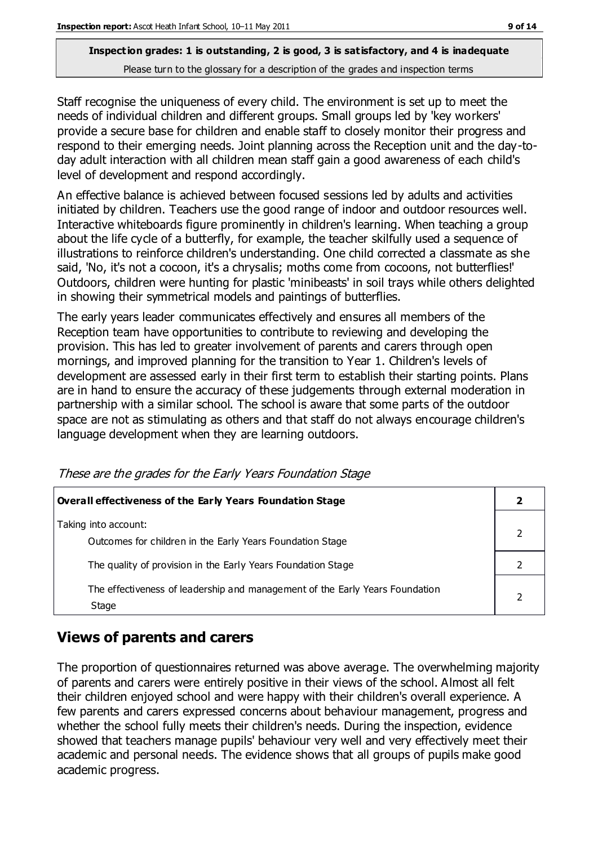Staff recognise the uniqueness of every child. The environment is set up to meet the needs of individual children and different groups. Small groups led by 'key workers' provide a secure base for children and enable staff to closely monitor their progress and respond to their emerging needs. Joint planning across the Reception unit and the day-today adult interaction with all children mean staff gain a good awareness of each child's level of development and respond accordingly.

An effective balance is achieved between focused sessions led by adults and activities initiated by children. Teachers use the good range of indoor and outdoor resources well. Interactive whiteboards figure prominently in children's learning. When teaching a group about the life cycle of a butterfly, for example, the teacher skilfully used a sequence of illustrations to reinforce children's understanding. One child corrected a classmate as she said, 'No, it's not a cocoon, it's a chrysalis; moths come from cocoons, not butterflies!' Outdoors, children were hunting for plastic 'minibeasts' in soil trays while others delighted in showing their symmetrical models and paintings of butterflies.

The early years leader communicates effectively and ensures all members of the Reception team have opportunities to contribute to reviewing and developing the provision. This has led to greater involvement of parents and carers through open mornings, and improved planning for the transition to Year 1. Children's levels of development are assessed early in their first term to establish their starting points. Plans are in hand to ensure the accuracy of these judgements through external moderation in partnership with a similar school. The school is aware that some parts of the outdoor space are not as stimulating as others and that staff do not always encourage children's language development when they are learning outdoors.

| <b>Overall effectiveness of the Early Years Foundation Stage</b>                      |  |  |
|---------------------------------------------------------------------------------------|--|--|
| Taking into account:<br>Outcomes for children in the Early Years Foundation Stage     |  |  |
| The quality of provision in the Early Years Foundation Stage                          |  |  |
| The effectiveness of leadership and management of the Early Years Foundation<br>Stage |  |  |

These are the grades for the Early Years Foundation Stage

## **Views of parents and carers**

The proportion of questionnaires returned was above average. The overwhelming majority of parents and carers were entirely positive in their views of the school. Almost all felt their children enjoyed school and were happy with their children's overall experience. A few parents and carers expressed concerns about behaviour management, progress and whether the school fully meets their children's needs. During the inspection, evidence showed that teachers manage pupils' behaviour very well and very effectively meet their academic and personal needs. The evidence shows that all groups of pupils make good academic progress.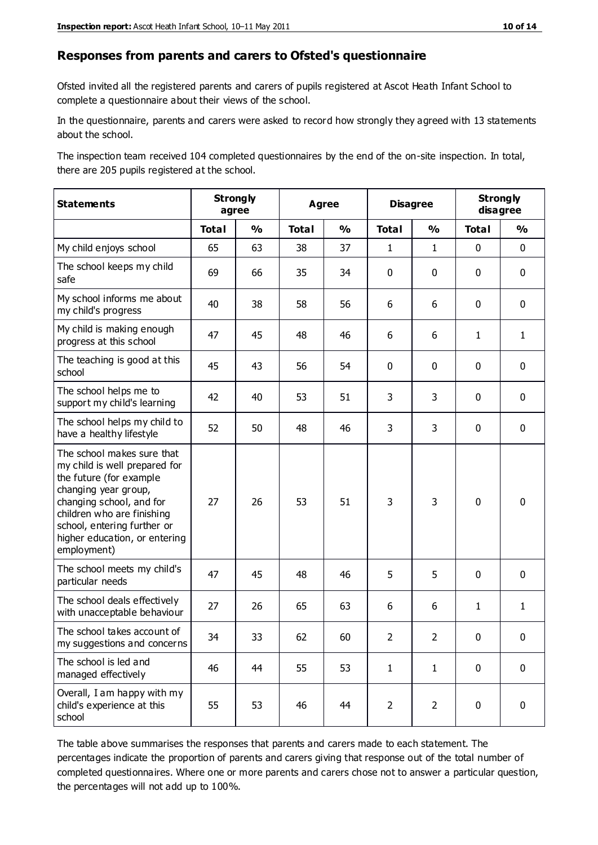#### **Responses from parents and carers to Ofsted's questionnaire**

Ofsted invited all the registered parents and carers of pupils registered at Ascot Heath Infant School to complete a questionnaire about their views of the school.

In the questionnaire, parents and carers were asked to record how strongly they agreed with 13 statements about the school.

The inspection team received 104 completed questionnaires by the end of the on-site inspection. In total, there are 205 pupils registered at the school.

| <b>Statements</b>                                                                                                                                                                                                                                       |              | <b>Strongly</b><br><b>Agree</b><br>agree |              | <b>Disagree</b> |                | <b>Strongly</b><br>disagree |              |               |
|---------------------------------------------------------------------------------------------------------------------------------------------------------------------------------------------------------------------------------------------------------|--------------|------------------------------------------|--------------|-----------------|----------------|-----------------------------|--------------|---------------|
|                                                                                                                                                                                                                                                         | <b>Total</b> | $\frac{1}{2}$                            | <b>Total</b> | $\frac{0}{0}$   | <b>Total</b>   | $\frac{1}{2}$               | <b>Total</b> | $\frac{0}{0}$ |
| My child enjoys school                                                                                                                                                                                                                                  | 65           | 63                                       | 38           | 37              | $\mathbf{1}$   | $\mathbf{1}$                | $\mathbf 0$  | $\mathbf 0$   |
| The school keeps my child<br>safe                                                                                                                                                                                                                       | 69           | 66                                       | 35           | 34              | 0              | $\mathbf 0$                 | $\mathbf 0$  | $\mathbf 0$   |
| My school informs me about<br>my child's progress                                                                                                                                                                                                       | 40           | 38                                       | 58           | 56              | 6              | 6                           | $\mathbf 0$  | $\mathbf 0$   |
| My child is making enough<br>progress at this school                                                                                                                                                                                                    | 47           | 45                                       | 48           | 46              | 6              | 6                           | $\mathbf{1}$ | $\mathbf{1}$  |
| The teaching is good at this<br>school                                                                                                                                                                                                                  | 45           | 43                                       | 56           | 54              | 0              | $\mathbf 0$                 | $\mathbf 0$  | $\mathbf 0$   |
| The school helps me to<br>support my child's learning                                                                                                                                                                                                   | 42           | 40                                       | 53           | 51              | 3              | 3                           | $\mathbf 0$  | $\mathbf 0$   |
| The school helps my child to<br>have a healthy lifestyle                                                                                                                                                                                                | 52           | 50                                       | 48           | 46              | 3              | 3                           | $\mathbf 0$  | $\mathbf 0$   |
| The school makes sure that<br>my child is well prepared for<br>the future (for example<br>changing year group,<br>changing school, and for<br>children who are finishing<br>school, entering further or<br>higher education, or entering<br>employment) | 27           | 26                                       | 53           | 51              | 3              | 3                           | $\mathbf 0$  | $\mathbf 0$   |
| The school meets my child's<br>particular needs                                                                                                                                                                                                         | 47           | 45                                       | 48           | 46              | 5              | 5                           | $\mathbf 0$  | $\mathbf 0$   |
| The school deals effectively<br>with unacceptable behaviour                                                                                                                                                                                             | 27           | 26                                       | 65           | 63              | 6              | 6                           | $\mathbf{1}$ | $\mathbf{1}$  |
| The school takes account of<br>my suggestions and concerns                                                                                                                                                                                              | 34           | 33                                       | 62           | 60              | $\mathcal{P}$  | $\overline{2}$              | $\Omega$     | 0             |
| The school is led and<br>managed effectively                                                                                                                                                                                                            | 46           | 44                                       | 55           | 53              | $\mathbf{1}$   | $\mathbf{1}$                | $\mathbf 0$  | $\mathbf 0$   |
| Overall, I am happy with my<br>child's experience at this<br>school                                                                                                                                                                                     | 55           | 53                                       | 46           | 44              | $\overline{2}$ | $\overline{2}$              | $\mathbf 0$  | $\mathbf 0$   |

The table above summarises the responses that parents and carers made to each statement. The percentages indicate the proportion of parents and carers giving that response out of the total number of completed questionnaires. Where one or more parents and carers chose not to answer a particular question, the percentages will not add up to 100%.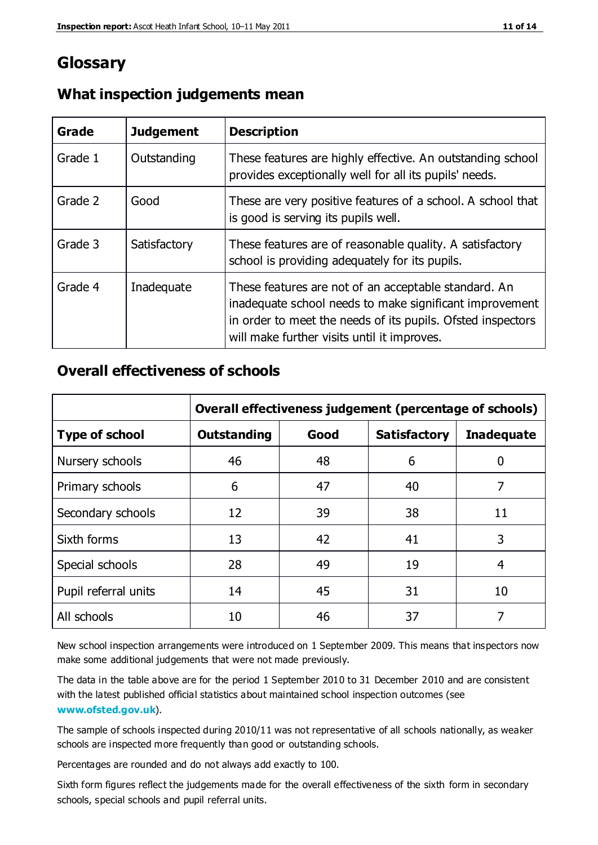# **Glossary**

| Grade   | <b>Judgement</b> | <b>Description</b>                                                                                                                                                                                                            |
|---------|------------------|-------------------------------------------------------------------------------------------------------------------------------------------------------------------------------------------------------------------------------|
| Grade 1 | Outstanding      | These features are highly effective. An outstanding school<br>provides exceptionally well for all its pupils' needs.                                                                                                          |
| Grade 2 | Good             | These are very positive features of a school. A school that<br>is good is serving its pupils well.                                                                                                                            |
| Grade 3 | Satisfactory     | These features are of reasonable quality. A satisfactory<br>school is providing adequately for its pupils.                                                                                                                    |
| Grade 4 | Inadequate       | These features are not of an acceptable standard. An<br>inadequate school needs to make significant improvement<br>in order to meet the needs of its pupils. Ofsted inspectors<br>will make further visits until it improves. |

#### **What inspection judgements mean**

#### **Overall effectiveness of schools**

|                       | Overall effectiveness judgement (percentage of schools) |      |                     |                   |
|-----------------------|---------------------------------------------------------|------|---------------------|-------------------|
| <b>Type of school</b> | <b>Outstanding</b>                                      | Good | <b>Satisfactory</b> | <b>Inadequate</b> |
| Nursery schools       | 46                                                      | 48   | 6                   |                   |
| Primary schools       | 6                                                       | 47   | 40                  | 7                 |
| Secondary schools     | 12                                                      | 39   | 38                  | 11                |
| Sixth forms           | 13                                                      | 42   | 41                  | 3                 |
| Special schools       | 28                                                      | 49   | 19                  | 4                 |
| Pupil referral units  | 14                                                      | 45   | 31                  | 10                |
| All schools           | 10                                                      | 46   | 37                  |                   |

New school inspection arrangements were introduced on 1 September 2009. This means that inspectors now make some additional judgements that were not made previously.

The data in the table above are for the period 1 September 2010 to 31 December 2010 and are consistent with the latest published official statistics about maintained school inspection outcomes (see **[www.ofsted.gov.uk](http://www.ofsted.gov.uk/)**).

The sample of schools inspected during 2010/11 was not representative of all schools nationally, as weaker schools are inspected more frequently than good or outstanding schools.

Percentages are rounded and do not always add exactly to 100.

Sixth form figures reflect the judgements made for the overall effectiveness of the sixth form in secondary schools, special schools and pupil referral units.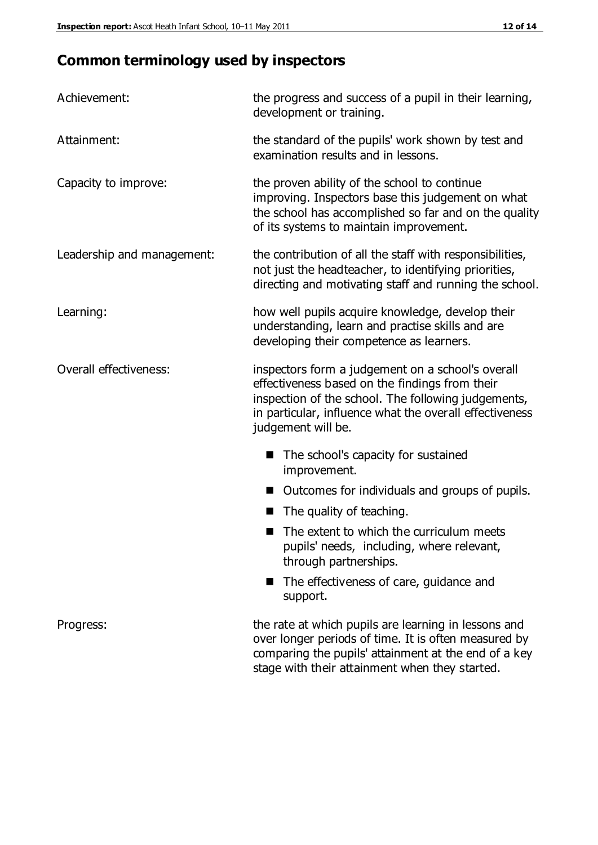# **Common terminology used by inspectors**

| Achievement:               | the progress and success of a pupil in their learning,<br>development or training.                                                                                                                                                          |
|----------------------------|---------------------------------------------------------------------------------------------------------------------------------------------------------------------------------------------------------------------------------------------|
| Attainment:                | the standard of the pupils' work shown by test and<br>examination results and in lessons.                                                                                                                                                   |
| Capacity to improve:       | the proven ability of the school to continue<br>improving. Inspectors base this judgement on what<br>the school has accomplished so far and on the quality<br>of its systems to maintain improvement.                                       |
| Leadership and management: | the contribution of all the staff with responsibilities,<br>not just the headteacher, to identifying priorities,<br>directing and motivating staff and running the school.                                                                  |
| Learning:                  | how well pupils acquire knowledge, develop their<br>understanding, learn and practise skills and are<br>developing their competence as learners.                                                                                            |
| Overall effectiveness:     | inspectors form a judgement on a school's overall<br>effectiveness based on the findings from their<br>inspection of the school. The following judgements,<br>in particular, influence what the overall effectiveness<br>judgement will be. |
|                            | The school's capacity for sustained<br>improvement.                                                                                                                                                                                         |
|                            | Outcomes for individuals and groups of pupils.                                                                                                                                                                                              |
|                            | The quality of teaching.                                                                                                                                                                                                                    |
|                            | The extent to which the curriculum meets<br>pupils' needs, including, where relevant,<br>through partnerships.                                                                                                                              |
|                            | The effectiveness of care, guidance and<br>support.                                                                                                                                                                                         |
| Progress:                  | the rate at which pupils are learning in lessons and<br>over longer periods of time. It is often measured by<br>comparing the pupils' attainment at the end of a key                                                                        |

stage with their attainment when they started.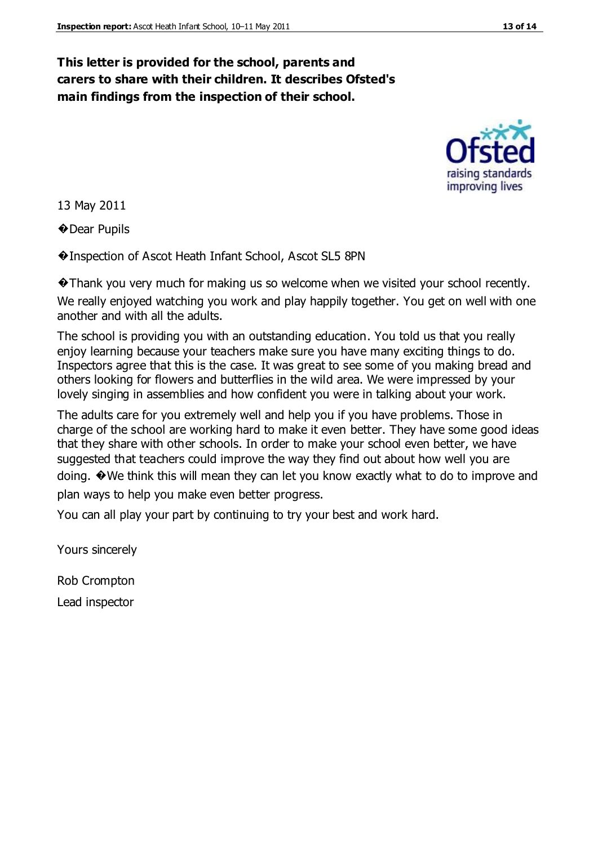#### **This letter is provided for the school, parents and carers to share with their children. It describes Ofsted's main findings from the inspection of their school.**

13 May 2011

�Dear Pupils

�Inspection of Ascot Heath Infant School, Ascot SL5 8PN

�Thank you very much for making us so welcome when we visited your school recently. We really enjoyed watching you work and play happily together. You get on well with one another and with all the adults.

The school is providing you with an outstanding education. You told us that you really enjoy learning because your teachers make sure you have many exciting things to do. Inspectors agree that this is the case. It was great to see some of you making bread and others looking for flowers and butterflies in the wild area. We were impressed by your lovely singing in assemblies and how confident you were in talking about your work.

The adults care for you extremely well and help you if you have problems. Those in charge of the school are working hard to make it even better. They have some good ideas that they share with other schools. In order to make your school even better, we have suggested that teachers could improve the way they find out about how well you are doing. �We think this will mean they can let you know exactly what to do to improve and plan ways to help you make even better progress.

You can all play your part by continuing to try your best and work hard.

Yours sincerely

Rob Crompton

Lead inspector